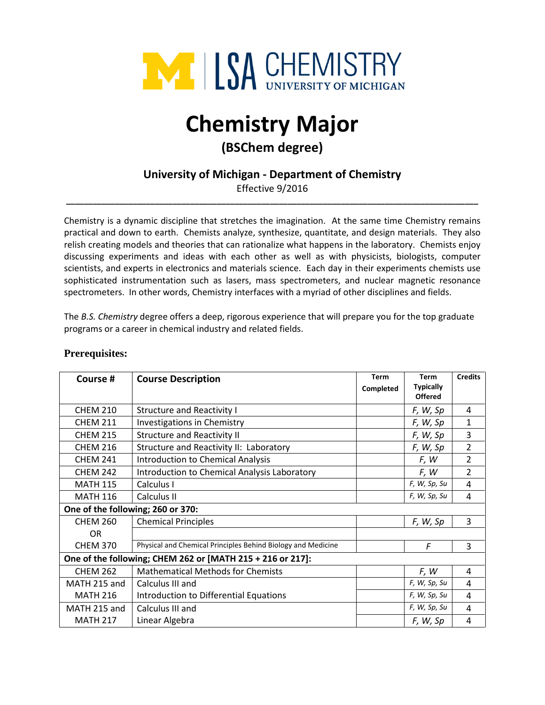

# **Chemistry Major**

## **(BSChem degree)**

### **University of Michigan - Department of Chemistry**

Effective 9/2016 **\_\_\_\_\_\_\_\_\_\_\_\_\_\_\_\_\_\_\_\_\_\_\_\_\_\_\_\_\_\_\_\_\_\_\_\_\_\_\_\_\_\_\_\_\_\_\_\_\_\_\_\_\_\_\_\_\_\_\_\_\_\_\_\_\_\_\_\_\_\_\_\_\_\_\_\_\_\_\_\_\_\_\_\_\_\_\_\_\_\_\_\_\_**

Chemistry is a dynamic discipline that stretches the imagination. At the same time Chemistry remains practical and down to earth. Chemists analyze, synthesize, quantitate, and design materials. They also relish creating models and theories that can rationalize what happens in the laboratory. Chemists enjoy discussing experiments and ideas with each other as well as with physicists, biologists, computer scientists, and experts in electronics and materials science. Each day in their experiments chemists use sophisticated instrumentation such as lasers, mass spectrometers, and nuclear magnetic resonance spectrometers. In other words, Chemistry interfaces with a myriad of other disciplines and fields.

The *B.S. Chemistry* degree offers a deep, rigorous experience that will prepare you for the top graduate programs or a career in chemical industry and related fields.

| Course #                                                   | <b>Course Description</b>                                    | Term      | <b>Term</b>                        | <b>Credits</b> |  |  |
|------------------------------------------------------------|--------------------------------------------------------------|-----------|------------------------------------|----------------|--|--|
|                                                            |                                                              | Completed | <b>Typically</b><br><b>Offered</b> |                |  |  |
| <b>CHEM 210</b>                                            | <b>Structure and Reactivity I</b>                            |           | F, W, Sp                           | 4              |  |  |
| <b>CHEM 211</b>                                            | Investigations in Chemistry                                  |           | F, W, Sp                           | $\mathbf 1$    |  |  |
| <b>CHEM 215</b>                                            | <b>Structure and Reactivity II</b>                           |           | F, W, Sp                           | 3              |  |  |
| <b>CHEM 216</b>                                            | Structure and Reactivity II: Laboratory                      |           | F, W, Sp                           | $\overline{2}$ |  |  |
| <b>CHEM 241</b>                                            | <b>Introduction to Chemical Analysis</b>                     |           | F, W                               | $\overline{2}$ |  |  |
| <b>CHEM 242</b>                                            | Introduction to Chemical Analysis Laboratory                 |           | F, W                               | $\overline{2}$ |  |  |
| <b>MATH 115</b>                                            | Calculus I                                                   |           | F, W, Sp, Su                       | 4              |  |  |
| <b>MATH 116</b>                                            | Calculus II                                                  |           | F, W, Sp, Su                       | 4              |  |  |
| One of the following; 260 or 370:                          |                                                              |           |                                    |                |  |  |
| <b>CHEM 260</b>                                            | <b>Chemical Principles</b>                                   |           | F, W, Sp                           | 3              |  |  |
| <b>OR</b>                                                  |                                                              |           |                                    |                |  |  |
| <b>CHEM 370</b>                                            | Physical and Chemical Principles Behind Biology and Medicine |           | F                                  | 3              |  |  |
| One of the following; CHEM 262 or [MATH 215 + 216 or 217]: |                                                              |           |                                    |                |  |  |
| <b>CHEM 262</b>                                            | <b>Mathematical Methods for Chemists</b>                     |           | F, W                               | 4              |  |  |
| MATH 215 and                                               | Calculus III and                                             |           | F, W, Sp, Su                       | $\overline{4}$ |  |  |
| <b>MATH 216</b>                                            | Introduction to Differential Equations                       |           | F, W, Sp, Su                       | $\overline{4}$ |  |  |
| MATH 215 and                                               | Calculus III and                                             |           | F, W, Sp, Su                       | 4              |  |  |
| <b>MATH 217</b>                                            | Linear Algebra                                               |           | F, W, Sp                           | 4              |  |  |

#### **Prerequisites:**